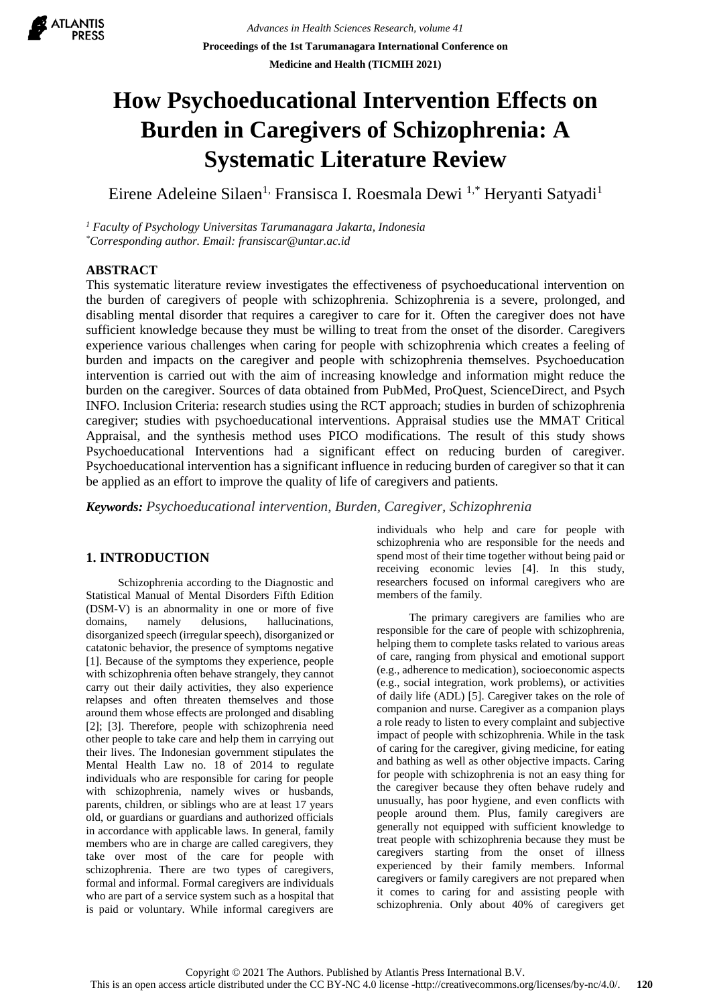

# **How Psychoeducational Intervention Effects on Burden in Caregivers of Schizophrenia: A Systematic Literature Review**

Eirene Adeleine Silaen<sup>1,</sup> Fransisca I. Roesmala Dewi <sup>1,\*</sup> Heryanti Satyadi<sup>1</sup>

*<sup>1</sup> Faculty of Psychology Universitas Tarumanagara Jakarta, Indonesia \*Corresponding author. Email: fransiscar@untar.ac.id*

# **ABSTRACT**

This systematic literature review investigates the effectiveness of psychoeducational intervention on the burden of caregivers of people with schizophrenia. Schizophrenia is a severe, prolonged, and disabling mental disorder that requires a caregiver to care for it. Often the caregiver does not have sufficient knowledge because they must be willing to treat from the onset of the disorder. Caregivers experience various challenges when caring for people with schizophrenia which creates a feeling of burden and impacts on the caregiver and people with schizophrenia themselves. Psychoeducation intervention is carried out with the aim of increasing knowledge and information might reduce the burden on the caregiver. Sources of data obtained from PubMed, ProQuest, ScienceDirect, and Psych INFO. Inclusion Criteria: research studies using the RCT approach; studies in burden of schizophrenia caregiver; studies with psychoeducational interventions. Appraisal studies use the MMAT Critical Appraisal, and the synthesis method uses PICO modifications. The result of this study shows Psychoeducational Interventions had a significant effect on reducing burden of caregiver. Psychoeducational intervention has a significant influence in reducing burden of caregiver so that it can be applied as an effort to improve the quality of life of caregivers and patients.

*Keywords: Psychoeducational intervention, Burden, Caregiver, Schizophrenia*

# **1. INTRODUCTION**

Schizophrenia according to the Diagnostic and Statistical Manual of Mental Disorders Fifth Edition (DSM-V) is an abnormality in one or more of five domains, namely delusions, hallucinations, disorganized speech (irregular speech), disorganized or catatonic behavior, the presence of symptoms negative [1]. Because of the symptoms they experience, people with schizophrenia often behave strangely, they cannot carry out their daily activities, they also experience relapses and often threaten themselves and those around them whose effects are prolonged and disabling [2]; [3]. Therefore, people with schizophrenia need other people to take care and help them in carrying out their lives. The Indonesian government stipulates the Mental Health Law no. 18 of 2014 to regulate individuals who are responsible for caring for people with schizophrenia, namely wives or husbands, parents, children, or siblings who are at least 17 years old, or guardians or guardians and authorized officials in accordance with applicable laws. In general, family members who are in charge are called caregivers, they take over most of the care for people with schizophrenia. There are two types of caregivers, formal and informal. Formal caregivers are individuals who are part of a service system such as a hospital that is paid or voluntary. While informal caregivers are

individuals who help and care for people with schizophrenia who are responsible for the needs and spend most of their time together without being paid or receiving economic levies [4]. In this study, researchers focused on informal caregivers who are members of the family.

The primary caregivers are families who are responsible for the care of people with schizophrenia, helping them to complete tasks related to various areas of care, ranging from physical and emotional support (e.g., adherence to medication), socioeconomic aspects (e.g., social integration, work problems), or activities of daily life (ADL) [5]. Caregiver takes on the role of companion and nurse. Caregiver as a companion plays a role ready to listen to every complaint and subjective impact of people with schizophrenia. While in the task of caring for the caregiver, giving medicine, for eating and bathing as well as other objective impacts. Caring for people with schizophrenia is not an easy thing for the caregiver because they often behave rudely and unusually, has poor hygiene, and even conflicts with people around them. Plus, family caregivers are generally not equipped with sufficient knowledge to treat people with schizophrenia because they must be caregivers starting from the onset of illness experienced by their family members. Informal caregivers or family caregivers are not prepared when it comes to caring for and assisting people with schizophrenia. Only about 40% of caregivers get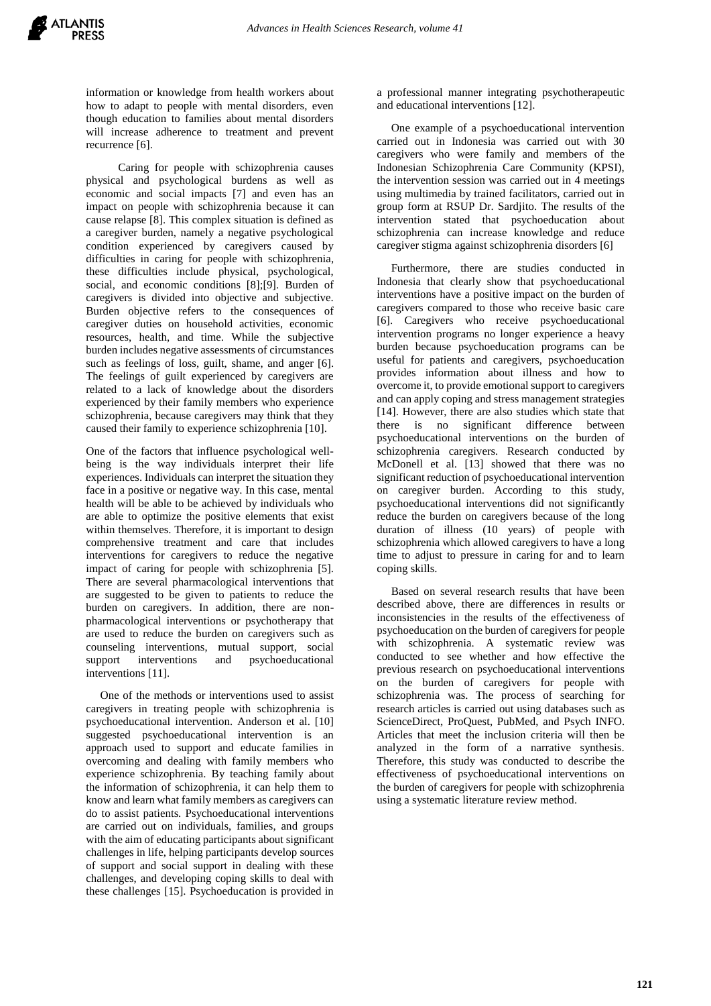information or knowledge from health workers about how to adapt to people with mental disorders, even though education to families about mental disorders will increase adherence to treatment and prevent recurrence [6].

Caring for people with schizophrenia causes physical and psychological burdens as well as economic and social impacts [7] and even has an impact on people with schizophrenia because it can cause relapse [8]. This complex situation is defined as a caregiver burden, namely a negative psychological condition experienced by caregivers caused by difficulties in caring for people with schizophrenia, these difficulties include physical, psychological, social, and economic conditions [8];[9]. Burden of caregivers is divided into objective and subjective. Burden objective refers to the consequences of caregiver duties on household activities, economic resources, health, and time. While the subjective burden includes negative assessments of circumstances such as feelings of loss, guilt, shame, and anger [6]. The feelings of guilt experienced by caregivers are related to a lack of knowledge about the disorders experienced by their family members who experience schizophrenia, because caregivers may think that they caused their family to experience schizophrenia [10].

One of the factors that influence psychological wellbeing is the way individuals interpret their life experiences. Individuals can interpret the situation they face in a positive or negative way. In this case, mental health will be able to be achieved by individuals who are able to optimize the positive elements that exist within themselves. Therefore, it is important to design comprehensive treatment and care that includes interventions for caregivers to reduce the negative impact of caring for people with schizophrenia [5]. There are several pharmacological interventions that are suggested to be given to patients to reduce the burden on caregivers. In addition, there are nonpharmacological interventions or psychotherapy that are used to reduce the burden on caregivers such as counseling interventions, mutual support, social support interventions and psychoeducational interventions [11].

 One of the methods or interventions used to assist caregivers in treating people with schizophrenia is psychoeducational intervention. Anderson et al. [10] suggested psychoeducational intervention is an approach used to support and educate families in overcoming and dealing with family members who experience schizophrenia. By teaching family about the information of schizophrenia, it can help them to know and learn what family members as caregivers can do to assist patients. Psychoeducational interventions are carried out on individuals, families, and groups with the aim of educating participants about significant challenges in life, helping participants develop sources of support and social support in dealing with these challenges, and developing coping skills to deal with these challenges [15]. Psychoeducation is provided in

a professional manner integrating psychotherapeutic and educational interventions [12].

 One example of a psychoeducational intervention carried out in Indonesia was carried out with 30 caregivers who were family and members of the Indonesian Schizophrenia Care Community (KPSI), the intervention session was carried out in 4 meetings using multimedia by trained facilitators, carried out in group form at RSUP Dr. Sardjito. The results of the intervention stated that psychoeducation about schizophrenia can increase knowledge and reduce caregiver stigma against schizophrenia disorders [6]

 Furthermore, there are studies conducted in Indonesia that clearly show that psychoeducational interventions have a positive impact on the burden of caregivers compared to those who receive basic care [6]. Caregivers who receive psychoeducational intervention programs no longer experience a heavy burden because psychoeducation programs can be useful for patients and caregivers, psychoeducation provides information about illness and how to overcome it, to provide emotional support to caregivers and can apply coping and stress management strategies [14]. However, there are also studies which state that there is no significant difference between psychoeducational interventions on the burden of schizophrenia caregivers. Research conducted by McDonell et al. [13] showed that there was no significant reduction of psychoeducational intervention on caregiver burden. According to this study, psychoeducational interventions did not significantly reduce the burden on caregivers because of the long duration of illness (10 years) of people with schizophrenia which allowed caregivers to have a long time to adjust to pressure in caring for and to learn coping skills.

 Based on several research results that have been described above, there are differences in results or inconsistencies in the results of the effectiveness of psychoeducation on the burden of caregivers for people with schizophrenia. A systematic review was conducted to see whether and how effective the previous research on psychoeducational interventions on the burden of caregivers for people with schizophrenia was. The process of searching for research articles is carried out using databases such as ScienceDirect, ProQuest, PubMed, and Psych INFO. Articles that meet the inclusion criteria will then be analyzed in the form of a narrative synthesis. Therefore, this study was conducted to describe the effectiveness of psychoeducational interventions on the burden of caregivers for people with schizophrenia using a systematic literature review method.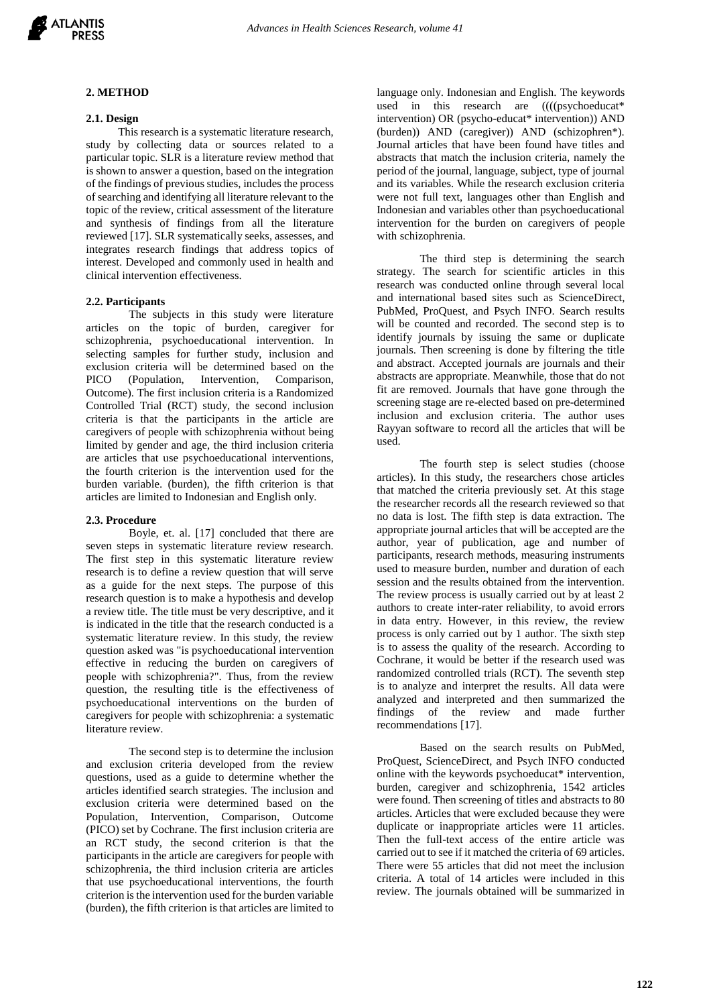

#### **2. METHOD**

#### **2.1. Design**

This research is a systematic literature research, study by collecting data or sources related to a particular topic. SLR is a literature review method that is shown to answer a question, based on the integration of the findings of previous studies, includes the process of searching and identifying all literature relevant to the topic of the review, critical assessment of the literature and synthesis of findings from all the literature reviewed [17]. SLR systematically seeks, assesses, and integrates research findings that address topics of interest. Developed and commonly used in health and clinical intervention effectiveness.

#### **2.2. Participants**

The subjects in this study were literature articles on the topic of burden, caregiver for schizophrenia, psychoeducational intervention. In selecting samples for further study, inclusion and exclusion criteria will be determined based on the PICO (Population, Intervention, Comparison, Outcome). The first inclusion criteria is a Randomized Controlled Trial (RCT) study, the second inclusion criteria is that the participants in the article are caregivers of people with schizophrenia without being limited by gender and age, the third inclusion criteria are articles that use psychoeducational interventions, the fourth criterion is the intervention used for the burden variable. (burden), the fifth criterion is that articles are limited to Indonesian and English only.

#### **2.3. Procedure**

Boyle, et. al. [17] concluded that there are seven steps in systematic literature review research. The first step in this systematic literature review research is to define a review question that will serve as a guide for the next steps. The purpose of this research question is to make a hypothesis and develop a review title. The title must be very descriptive, and it is indicated in the title that the research conducted is a systematic literature review. In this study, the review question asked was "is psychoeducational intervention effective in reducing the burden on caregivers of people with schizophrenia?". Thus, from the review question, the resulting title is the effectiveness of psychoeducational interventions on the burden of caregivers for people with schizophrenia: a systematic literature review.

The second step is to determine the inclusion and exclusion criteria developed from the review questions, used as a guide to determine whether the articles identified search strategies. The inclusion and exclusion criteria were determined based on the Population, Intervention, Comparison, Outcome (PICO) set by Cochrane. The first inclusion criteria are an RCT study, the second criterion is that the participants in the article are caregivers for people with schizophrenia, the third inclusion criteria are articles that use psychoeducational interventions, the fourth criterion is the intervention used for the burden variable (burden), the fifth criterion is that articles are limited to

language only. Indonesian and English. The keywords used in this research are  $(((psychoeducat*$ intervention) OR (psycho-educat\* intervention)) AND (burden)) AND (caregiver)) AND (schizophren\*). Journal articles that have been found have titles and abstracts that match the inclusion criteria, namely the period of the journal, language, subject, type of journal and its variables. While the research exclusion criteria were not full text, languages other than English and Indonesian and variables other than psychoeducational intervention for the burden on caregivers of people with schizophrenia.

The third step is determining the search strategy. The search for scientific articles in this research was conducted online through several local and international based sites such as ScienceDirect, PubMed, ProQuest, and Psych INFO. Search results will be counted and recorded. The second step is to identify journals by issuing the same or duplicate journals. Then screening is done by filtering the title and abstract. Accepted journals are journals and their abstracts are appropriate. Meanwhile, those that do not fit are removed. Journals that have gone through the screening stage are re-elected based on pre-determined inclusion and exclusion criteria. The author uses Rayyan software to record all the articles that will be used.

The fourth step is select studies (choose articles). In this study, the researchers chose articles that matched the criteria previously set. At this stage the researcher records all the research reviewed so that no data is lost. The fifth step is data extraction. The appropriate journal articles that will be accepted are the author, year of publication, age and number of participants, research methods, measuring instruments used to measure burden, number and duration of each session and the results obtained from the intervention. The review process is usually carried out by at least 2 authors to create inter-rater reliability, to avoid errors in data entry. However, in this review, the review process is only carried out by 1 author. The sixth step is to assess the quality of the research. According to Cochrane, it would be better if the research used was randomized controlled trials (RCT). The seventh step is to analyze and interpret the results. All data were analyzed and interpreted and then summarized the findings of the review and made further recommendations [17].

Based on the search results on PubMed, ProQuest, ScienceDirect, and Psych INFO conducted online with the keywords psychoeducat\* intervention, burden, caregiver and schizophrenia, 1542 articles were found. Then screening of titles and abstracts to 80 articles. Articles that were excluded because they were duplicate or inappropriate articles were 11 articles. Then the full-text access of the entire article was carried out to see if it matched the criteria of 69 articles. There were 55 articles that did not meet the inclusion criteria. A total of 14 articles were included in this review. The journals obtained will be summarized in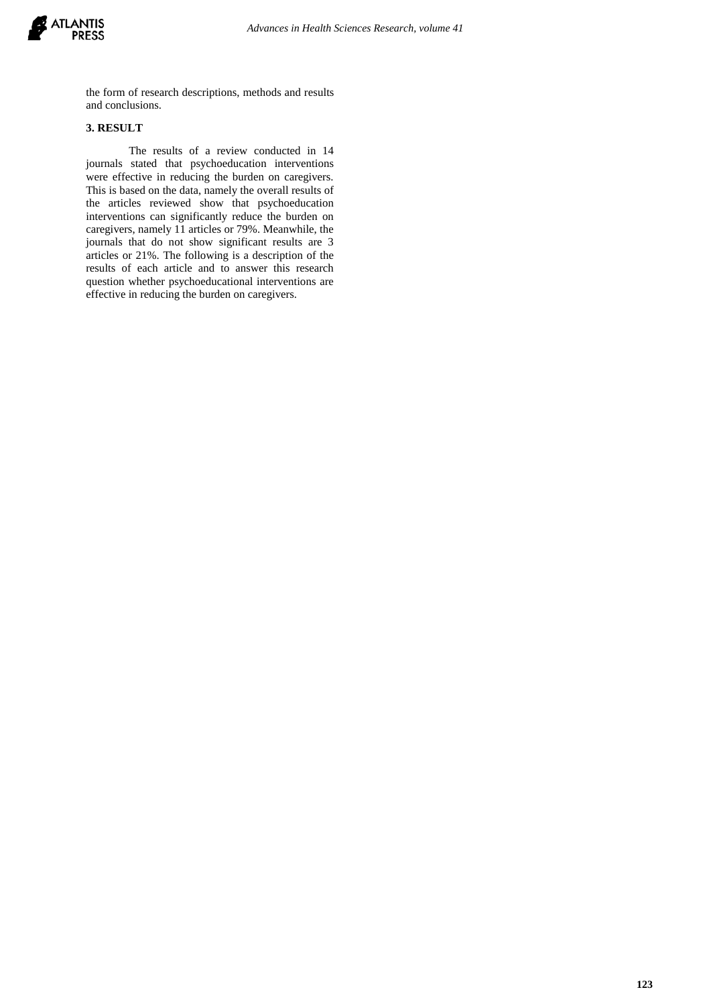

the form of research descriptions, methods and results and conclusions.

# **3. RESULT**

The results of a review conducted in 14 journals stated that psychoeducation interventions were effective in reducing the burden on caregivers. This is based on the data, namely the overall results of the articles reviewed show that psychoeducation interventions can significantly reduce the burden on caregivers, namely 11 articles or 79%. Meanwhile, the journals that do not show significant results are 3 articles or 21%. The following is a description of the results of each article and to answer this research question whether psychoeducational interventions are effective in reducing the burden on caregivers.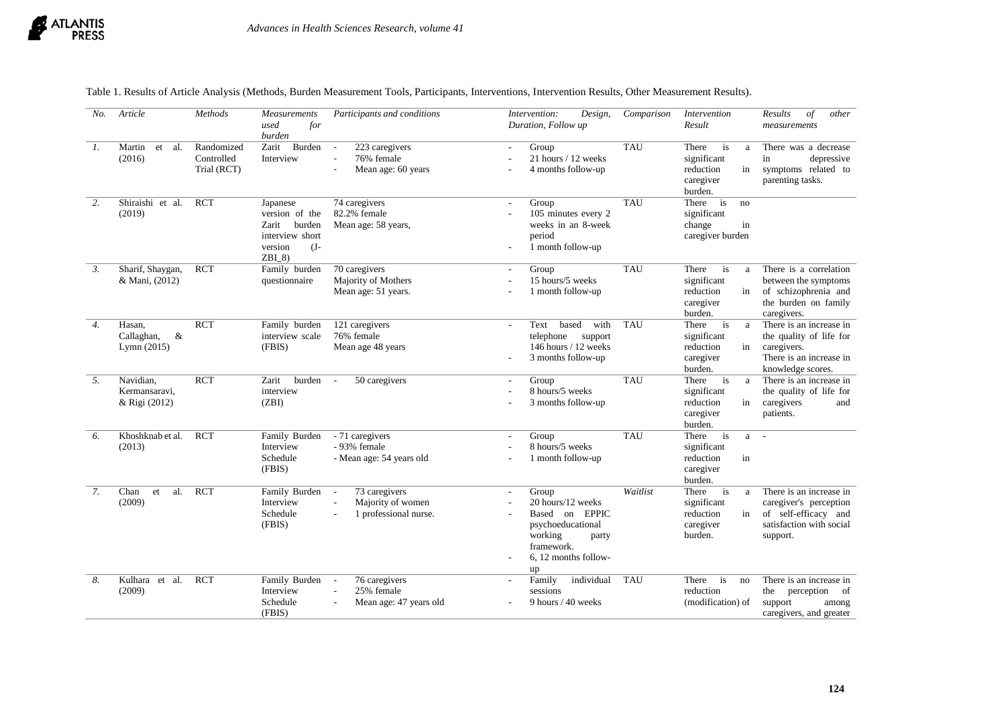

| No.              | Article                                       | Methods                                 | Measurements<br>used<br>for<br>burden                                                             | Participants and conditions                                                                                             | Intervention:<br>Design,<br>Duration, Follow up                                                                                                   | Comparison | Intervention<br>Result                                                                | Results<br>$\int$<br>other<br>measurements                                                                        |
|------------------|-----------------------------------------------|-----------------------------------------|---------------------------------------------------------------------------------------------------|-------------------------------------------------------------------------------------------------------------------------|---------------------------------------------------------------------------------------------------------------------------------------------------|------------|---------------------------------------------------------------------------------------|-------------------------------------------------------------------------------------------------------------------|
| 1.               | Martin<br>et<br>al.<br>(2016)                 | Randomized<br>Controlled<br>Trial (RCT) | Zarit<br>Burden<br>Interview                                                                      | 223 caregivers<br>$\blacksquare$<br>76% female<br>$\sim$<br>Mean age: 60 years                                          | Group<br>21 hours / 12 weeks<br>4 months follow-up                                                                                                | <b>TAU</b> | There<br>is<br>a<br>significant<br>reduction<br>in<br>caregiver<br>burden.            | There was a decrease<br>in<br>depressive<br>symptoms related to<br>parenting tasks.                               |
| 2.               | Shiraishi et al.<br>(2019)                    | <b>RCT</b>                              | Japanese<br>version of the<br>Zarit<br>burden<br>interview short<br>version<br>$(J -$<br>$ZBI$ 8) | 74 caregivers<br>82.2% female<br>Mean age: 58 years,                                                                    | Group<br>$\sim$<br>105 minutes every 2<br>weeks in an 8-week<br>period<br>1 month follow-up                                                       | <b>TAU</b> | There<br>is<br>no<br>significant<br>change<br>in<br>caregiver burden                  |                                                                                                                   |
| $\mathfrak{Z}$ . | Sharif, Shaygan,<br>& Mani, (2012)            | <b>RCT</b>                              | Family burden<br>questionnaire                                                                    | 70 caregivers<br>Majority of Mothers<br>Mean age: 51 years.                                                             | Group<br>$\blacksquare$<br>15 hours/5 weeks<br>1 month follow-up                                                                                  | <b>TAU</b> | There<br>is<br>a<br>significant<br>reduction<br>in<br>caregiver<br>burden.            | There is a correlation<br>between the symptoms<br>of schizophrenia and<br>the burden on family<br>caregivers.     |
| 4.               | Hasan,<br>$\&$<br>Callaghan,<br>Lymn $(2015)$ | <b>RCT</b>                              | Family burden<br>interview scale<br>(FBIS)                                                        | 121 caregivers<br>76% female<br>Mean age 48 years                                                                       | based<br>Text<br>with<br>$\mathcal{L}$<br>telephone<br>support<br>146 hours / 12 weeks<br>3 months follow-up                                      | <b>TAU</b> | There<br>$\frac{1}{1}$<br>a<br>significant<br>reduction<br>in<br>caregiver<br>burden. | There is an increase in<br>the quality of life for<br>caregivers.<br>There is an increase in<br>knowledge scores. |
| 5.               | Navidian,<br>Kermansaravi,<br>& Rigi (2012)   | $\overline{RCT}$                        | burden<br>Zarit<br>interview<br>(ZBI)                                                             | 50 caregivers<br>$\blacksquare$                                                                                         | Group<br>$\mathbf{r}$<br>8 hours/5 weeks<br>3 months follow-up                                                                                    | <b>TAU</b> | is<br>There<br>a<br>significant<br>reduction<br>in<br>caregiver<br>burden.            | There is an increase in<br>the quality of life for<br>caregivers<br>and<br>patients.                              |
| 6.               | Khoshknab et al.<br>(2013)                    | <b>RCT</b>                              | Family Burden<br>Interview<br>Schedule<br>(FBIS)                                                  | - 71 caregivers<br>- 93% female<br>- Mean age: 54 years old                                                             | Group<br>$\overline{\phantom{a}}$<br>8 hours/5 weeks<br>1 month follow-up                                                                         | <b>TAU</b> | There<br>$\frac{1}{1}$<br>a<br>significant<br>reduction<br>in<br>caregiver<br>burden. | $\overline{a}$                                                                                                    |
| $\overline{7}$ . | Chan<br>al.<br>et<br>(2009)                   | $\overline{RCT}$                        | Family Burden<br>Interview<br>Schedule<br>(FBIS)                                                  | 73 caregivers<br>$\overline{\phantom{a}}$<br>Majority of women<br>$\overline{a}$<br>1 professional nurse.<br>÷.         | Group<br>$\mathbf{r}$<br>20 hours/12 weeks<br>Based on EPPIC<br>psychoeducational<br>working<br>party<br>framework.<br>6, 12 months follow-<br>up | Waitlist   | There<br>$\frac{1}{1}$<br>a<br>significant<br>reduction<br>in<br>caregiver<br>burden. | There is an increase in<br>caregiver's perception<br>of self-efficacy and<br>satisfaction with social<br>support. |
| 8.               | Kulhara et al.<br>(2009)                      | <b>RCT</b>                              | Family Burden<br>Interview<br>Schedule<br>(FBIS)                                                  | 76 caregivers<br>$\overline{\phantom{a}}$<br>25% female<br>$\overline{\phantom{a}}$<br>Mean age: 47 years old<br>$\sim$ | individual<br>Family<br>$\sim$<br>sessions<br>9 hours / 40 weeks                                                                                  | <b>TAU</b> | There<br>is<br>no<br>reduction<br>(modification) of                                   | There is an increase in<br>perception<br>the<br>of<br>support<br>among<br>caregivers, and greater                 |

Table 1. Results of Article Analysis (Methods, Burden Measurement Tools, Participants, Interventions, Intervention Results, Other Measurement Results).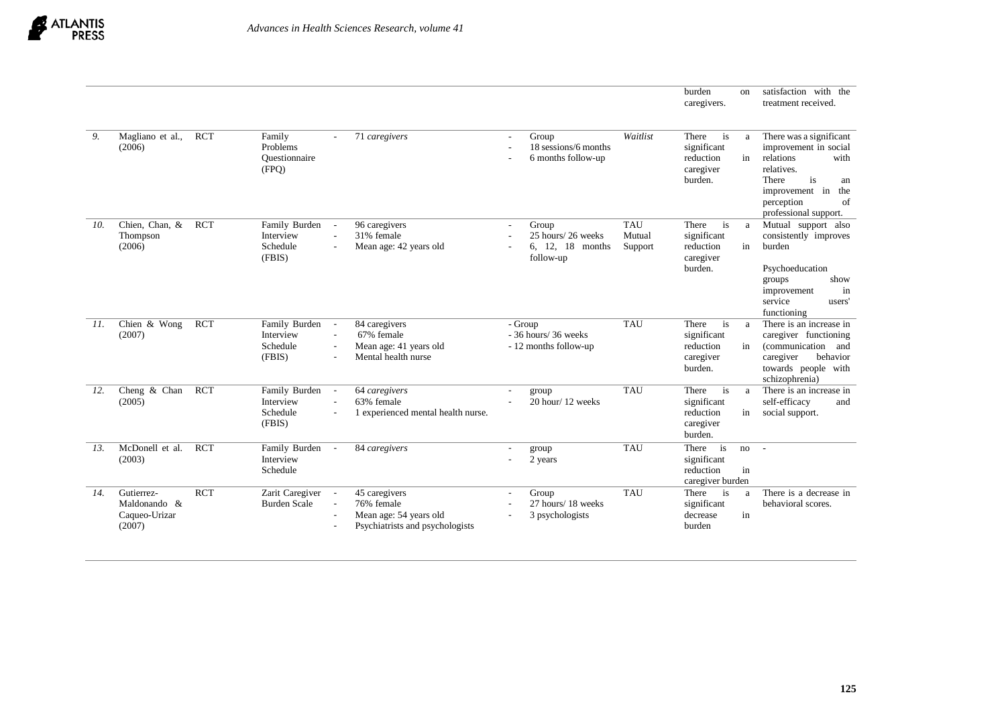

|     |                                                       |            |                                                  |                                                    |                                                                                          |                |                                                             |                                 | burden<br>caregivers.                                           | on       | satisfaction with the<br>treatment received.                                                                                                                                   |
|-----|-------------------------------------------------------|------------|--------------------------------------------------|----------------------------------------------------|------------------------------------------------------------------------------------------|----------------|-------------------------------------------------------------|---------------------------------|-----------------------------------------------------------------|----------|--------------------------------------------------------------------------------------------------------------------------------------------------------------------------------|
| 9.  | Magliano et al.,<br>(2006)                            | <b>RCT</b> | Family<br>Problems<br>Ouestionnaire<br>(FPQ)     |                                                    | 71 caregivers                                                                            | $\blacksquare$ | Group<br>18 sessions/6 months<br>6 months follow-up         | Waitlist                        | There<br>is<br>significant<br>reduction<br>caregiver<br>burden. | a<br>in  | There was a significant<br>improvement in social<br>relations<br>with<br>relatives.<br>is<br>There<br>an<br>improvement in<br>the<br>of<br>perception<br>professional support. |
| 10. | Chien, Chan, &<br>Thompson<br>(2006)                  | <b>RCT</b> | Family Burden<br>Interview<br>Schedule<br>(FBIS) | $\overline{\phantom{a}}$<br>÷.                     | 96 caregivers<br>31% female<br>Mean age: 42 years old                                    |                | Group<br>25 hours/26 weeks<br>6, 12, 18 months<br>follow-up | <b>TAU</b><br>Mutual<br>Support | There<br>is<br>significant<br>reduction<br>caregiver<br>burden. | a<br>in  | Mutual support also<br>consistently improves<br>burden<br>Psychoeducation<br>show<br>groups<br>improvement<br>in<br>service<br>users'<br>functioning                           |
| 11. | Chien $&$ Wong<br>(2007)                              | <b>RCT</b> | Family Burden<br>Interview<br>Schedule<br>(FBIS) | $\blacksquare$<br>$\sim$<br>$\sim$                 | 84 caregivers<br>67% female<br>Mean age: 41 years old<br>Mental health nurse             | - Group        | $-36$ hours/ 36 weeks<br>- 12 months follow-up              | <b>TAU</b>                      | There<br>is<br>significant<br>reduction<br>caregiver<br>burden. | a<br>in  | There is an increase in<br>caregiver functioning<br><i>(communication)</i><br>and<br>behavior<br>caregiver<br>towards people with<br>schizophrenia)                            |
| 12. | Cheng & Chan<br>(2005)                                | <b>RCT</b> | Family Burden<br>Interview<br>Schedule<br>(FBIS) | $\blacksquare$<br>$\blacksquare$<br>$\blacksquare$ | 64 caregivers<br>63% female<br>1 experienced mental health nurse.                        | $\blacksquare$ | group<br>20 hour/12 weeks                                   | <b>TAU</b>                      | There<br>is<br>significant<br>reduction<br>caregiver<br>burden. | a<br>in  | There is an increase in<br>self-efficacy<br>and<br>social support.                                                                                                             |
| 13. | McDonell et al.<br>(2003)                             | <b>RCT</b> | Family Burden<br>Interview<br>Schedule           | $\blacksquare$                                     | 84 caregivers                                                                            |                | group<br>2 years                                            | <b>TAU</b>                      | is<br>There<br>significant<br>reduction<br>caregiver burden     | no<br>in | $\sim$                                                                                                                                                                         |
| 14. | Gutierrez-<br>Maldonando &<br>Caqueo-Urizar<br>(2007) | <b>RCT</b> | Zarit Caregiver<br><b>Burden Scale</b>           | $\blacksquare$<br>$\mathbf{r}$                     | 45 caregivers<br>76% female<br>Mean age: 54 years old<br>Psychiatrists and psychologists | $\blacksquare$ | Group<br>27 hours/18 weeks<br>3 psychologists               | <b>TAU</b>                      | There<br>is<br>significant<br>decrease<br>burden                | a<br>in  | There is a decrease in<br>behavioral scores.                                                                                                                                   |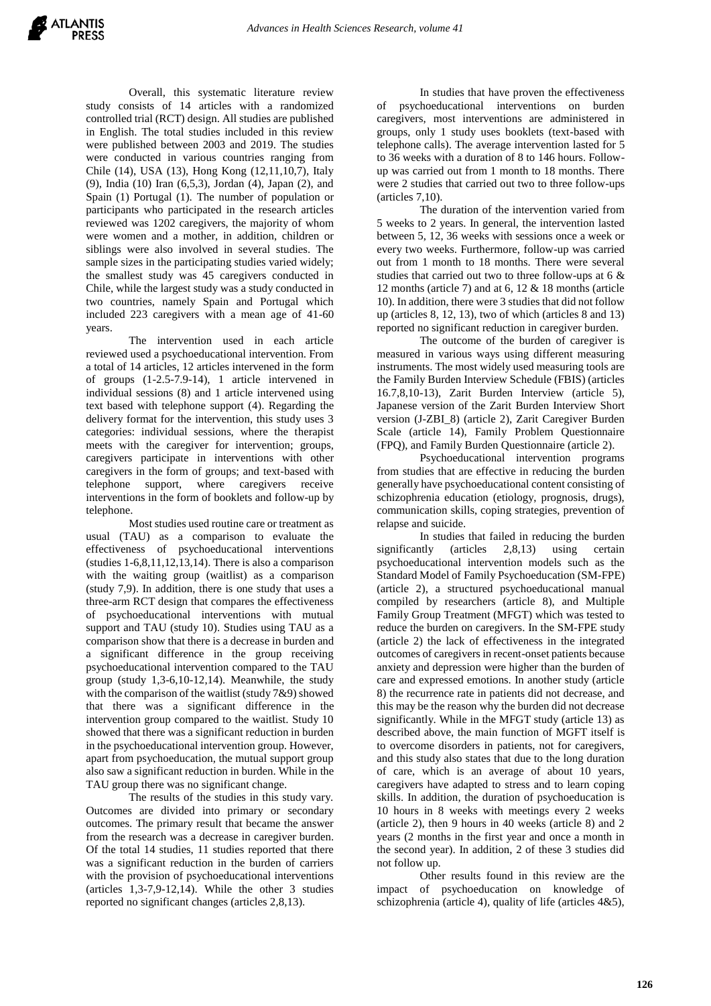Overall, this systematic literature review study consists of 14 articles with a randomized controlled trial (RCT) design. All studies are published in English. The total studies included in this review were published between 2003 and 2019. The studies were conducted in various countries ranging from Chile (14), USA (13), Hong Kong (12,11,10,7), Italy (9), India (10) Iran (6,5,3), Jordan (4), Japan (2), and Spain (1) Portugal (1). The number of population or participants who participated in the research articles reviewed was 1202 caregivers, the majority of whom were women and a mother, in addition, children or siblings were also involved in several studies. The sample sizes in the participating studies varied widely; the smallest study was 45 caregivers conducted in Chile, while the largest study was a study conducted in two countries, namely Spain and Portugal which included 223 caregivers with a mean age of 41-60 years.

The intervention used in each article reviewed used a psychoeducational intervention. From a total of 14 articles, 12 articles intervened in the form of groups (1-2.5-7.9-14), 1 article intervened in individual sessions (8) and 1 article intervened using text based with telephone support (4). Regarding the delivery format for the intervention, this study uses 3 categories: individual sessions, where the therapist meets with the caregiver for intervention; groups, caregivers participate in interventions with other caregivers in the form of groups; and text-based with telephone support, where caregivers receive interventions in the form of booklets and follow-up by telephone.

Most studies used routine care or treatment as usual (TAU) as a comparison to evaluate the effectiveness of psychoeducational interventions (studies  $1-6,8,11,12,13,14$ ). There is also a comparison with the waiting group (waitlist) as a comparison (study 7,9). In addition, there is one study that uses a three-arm RCT design that compares the effectiveness of psychoeducational interventions with mutual support and TAU (study 10). Studies using TAU as a comparison show that there is a decrease in burden and a significant difference in the group receiving psychoeducational intervention compared to the TAU group (study 1,3-6,10-12,14). Meanwhile, the study with the comparison of the waitlist (study 7&9) showed that there was a significant difference in the intervention group compared to the waitlist. Study 10 showed that there was a significant reduction in burden in the psychoeducational intervention group. However, apart from psychoeducation, the mutual support group also saw a significant reduction in burden. While in the TAU group there was no significant change.

The results of the studies in this study vary. Outcomes are divided into primary or secondary outcomes. The primary result that became the answer from the research was a decrease in caregiver burden. Of the total 14 studies, 11 studies reported that there was a significant reduction in the burden of carriers with the provision of psychoeducational interventions (articles 1,3-7,9-12,14). While the other 3 studies reported no significant changes (articles 2,8,13).

In studies that have proven the effectiveness of psychoeducational interventions on burden caregivers, most interventions are administered in groups, only 1 study uses booklets (text-based with telephone calls). The average intervention lasted for 5 to 36 weeks with a duration of 8 to 146 hours. Followup was carried out from 1 month to 18 months. There were 2 studies that carried out two to three follow-ups (articles 7,10).

The duration of the intervention varied from 5 weeks to 2 years. In general, the intervention lasted between 5, 12, 36 weeks with sessions once a week or every two weeks. Furthermore, follow-up was carried out from 1 month to 18 months. There were several studies that carried out two to three follow-ups at 6 & 12 months (article 7) and at 6, 12 & 18 months (article 10). In addition, there were 3 studies that did not follow up (articles 8, 12, 13), two of which (articles 8 and 13) reported no significant reduction in caregiver burden.

The outcome of the burden of caregiver is measured in various ways using different measuring instruments. The most widely used measuring tools are the Family Burden Interview Schedule (FBIS) (articles 16.7,8,10-13), Zarit Burden Interview (article 5), Japanese version of the Zarit Burden Interview Short version (J-ZBI\_8) (article 2), Zarit Caregiver Burden Scale (article 14), Family Problem Questionnaire (FPQ), and Family Burden Questionnaire (article 2).

Psychoeducational intervention programs from studies that are effective in reducing the burden generally have psychoeducational content consisting of schizophrenia education (etiology, prognosis, drugs), communication skills, coping strategies, prevention of relapse and suicide.

In studies that failed in reducing the burden significantly (articles 2,8,13) using certain psychoeducational intervention models such as the Standard Model of Family Psychoeducation (SM-FPE) (article 2), a structured psychoeducational manual compiled by researchers (article 8), and Multiple Family Group Treatment (MFGT) which was tested to reduce the burden on caregivers. In the SM-FPE study (article 2) the lack of effectiveness in the integrated outcomes of caregivers in recent-onset patients because anxiety and depression were higher than the burden of care and expressed emotions. In another study (article 8) the recurrence rate in patients did not decrease, and this may be the reason why the burden did not decrease significantly. While in the MFGT study (article 13) as described above, the main function of MGFT itself is to overcome disorders in patients, not for caregivers, and this study also states that due to the long duration of care, which is an average of about 10 years, caregivers have adapted to stress and to learn coping skills. In addition, the duration of psychoeducation is 10 hours in 8 weeks with meetings every 2 weeks (article 2), then 9 hours in 40 weeks (article 8) and 2 years (2 months in the first year and once a month in the second year). In addition, 2 of these 3 studies did not follow up.

Other results found in this review are the impact of psychoeducation on knowledge of schizophrenia (article 4), quality of life (articles 4&5),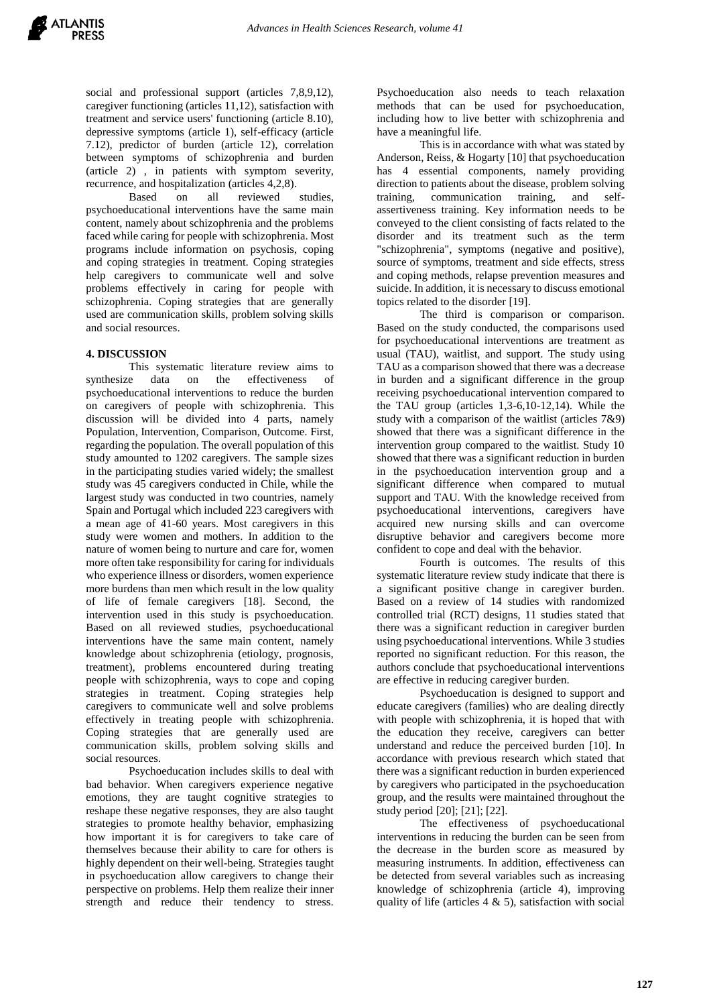social and professional support (articles 7,8,9,12), caregiver functioning (articles 11,12), satisfaction with treatment and service users' functioning (article 8.10), depressive symptoms (article 1), self-efficacy (article 7.12), predictor of burden (article 12), correlation between symptoms of schizophrenia and burden (article 2) , in patients with symptom severity, recurrence, and hospitalization (articles 4,2,8).

Based on all reviewed studies, psychoeducational interventions have the same main content, namely about schizophrenia and the problems faced while caring for people with schizophrenia. Most programs include information on psychosis, coping and coping strategies in treatment. Coping strategies help caregivers to communicate well and solve problems effectively in caring for people with schizophrenia. Coping strategies that are generally used are communication skills, problem solving skills and social resources.

# **4. DISCUSSION**

This systematic literature review aims to synthesize data on the effectiveness of psychoeducational interventions to reduce the burden on caregivers of people with schizophrenia. This discussion will be divided into 4 parts, namely Population, Intervention, Comparison, Outcome. First, regarding the population. The overall population of this study amounted to 1202 caregivers. The sample sizes in the participating studies varied widely; the smallest study was 45 caregivers conducted in Chile, while the largest study was conducted in two countries, namely Spain and Portugal which included 223 caregivers with a mean age of 41-60 years. Most caregivers in this study were women and mothers. In addition to the nature of women being to nurture and care for, women more often take responsibility for caring for individuals who experience illness or disorders, women experience more burdens than men which result in the low quality of life of female caregivers [18]. Second, the intervention used in this study is psychoeducation. Based on all reviewed studies, psychoeducational interventions have the same main content, namely knowledge about schizophrenia (etiology, prognosis, treatment), problems encountered during treating people with schizophrenia, ways to cope and coping strategies in treatment. Coping strategies help caregivers to communicate well and solve problems effectively in treating people with schizophrenia. Coping strategies that are generally used are communication skills, problem solving skills and social resources.

Psychoeducation includes skills to deal with bad behavior. When caregivers experience negative emotions, they are taught cognitive strategies to reshape these negative responses, they are also taught strategies to promote healthy behavior, emphasizing how important it is for caregivers to take care of themselves because their ability to care for others is highly dependent on their well-being. Strategies taught in psychoeducation allow caregivers to change their perspective on problems. Help them realize their inner strength and reduce their tendency to stress.

Psychoeducation also needs to teach relaxation methods that can be used for psychoeducation, including how to live better with schizophrenia and have a meaningful life.

This is in accordance with what was stated by Anderson, Reiss, & Hogarty [10] that psychoeducation has 4 essential components, namely providing direction to patients about the disease, problem solving training, communication training, and selfassertiveness training. Key information needs to be conveyed to the client consisting of facts related to the disorder and its treatment such as the term "schizophrenia", symptoms (negative and positive), source of symptoms, treatment and side effects, stress and coping methods, relapse prevention measures and suicide. In addition, it is necessary to discuss emotional topics related to the disorder [19].

The third is comparison or comparison. Based on the study conducted, the comparisons used for psychoeducational interventions are treatment as usual (TAU), waitlist, and support. The study using TAU as a comparison showed that there was a decrease in burden and a significant difference in the group receiving psychoeducational intervention compared to the TAU group (articles 1,3-6,10-12,14). While the study with a comparison of the waitlist (articles 7&9) showed that there was a significant difference in the intervention group compared to the waitlist. Study 10 showed that there was a significant reduction in burden in the psychoeducation intervention group and a significant difference when compared to mutual support and TAU. With the knowledge received from psychoeducational interventions, caregivers have acquired new nursing skills and can overcome disruptive behavior and caregivers become more confident to cope and deal with the behavior.

Fourth is outcomes. The results of this systematic literature review study indicate that there is a significant positive change in caregiver burden. Based on a review of 14 studies with randomized controlled trial (RCT) designs, 11 studies stated that there was a significant reduction in caregiver burden using psychoeducational interventions. While 3 studies reported no significant reduction. For this reason, the authors conclude that psychoeducational interventions are effective in reducing caregiver burden.

Psychoeducation is designed to support and educate caregivers (families) who are dealing directly with people with schizophrenia, it is hoped that with the education they receive, caregivers can better understand and reduce the perceived burden [10]. In accordance with previous research which stated that there was a significant reduction in burden experienced by caregivers who participated in the psychoeducation group, and the results were maintained throughout the study period [20]; [21]; [22].

The effectiveness of psychoeducational interventions in reducing the burden can be seen from the decrease in the burden score as measured by measuring instruments. In addition, effectiveness can be detected from several variables such as increasing knowledge of schizophrenia (article 4), improving quality of life (articles  $4 \& 5$ ), satisfaction with social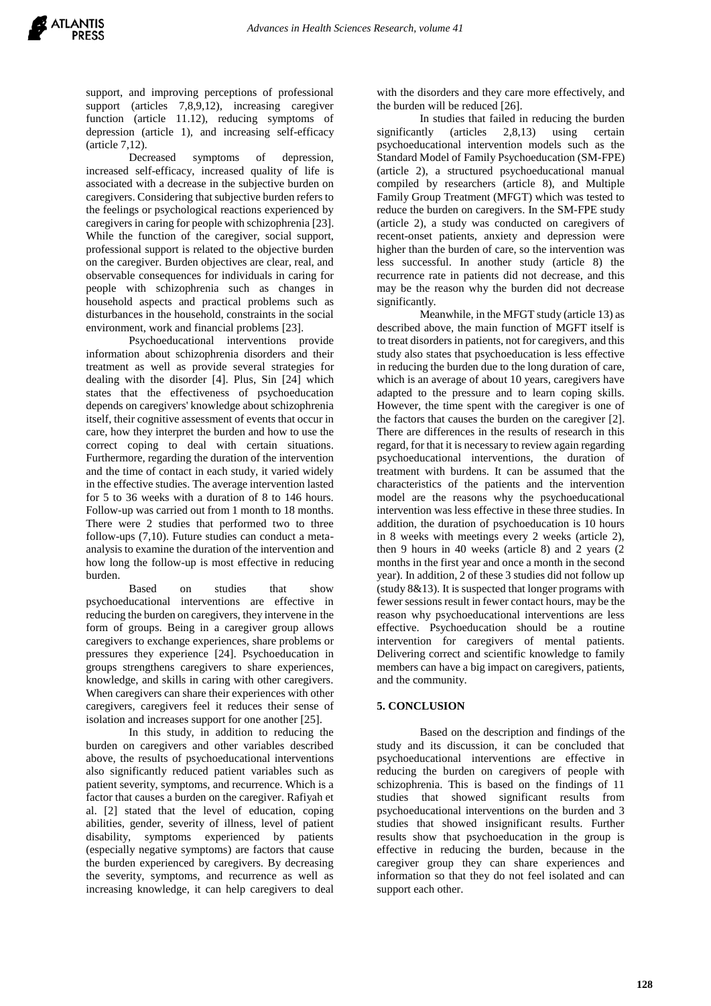support, and improving perceptions of professional support (articles 7,8,9,12), increasing caregiver function (article 11.12), reducing symptoms of depression (article 1), and increasing self-efficacy (article 7,12).

Decreased symptoms of depression, increased self-efficacy, increased quality of life is associated with a decrease in the subjective burden on caregivers. Considering that subjective burden refers to the feelings or psychological reactions experienced by caregivers in caring for people with schizophrenia [23]. While the function of the caregiver, social support, professional support is related to the objective burden on the caregiver. Burden objectives are clear, real, and observable consequences for individuals in caring for people with schizophrenia such as changes in household aspects and practical problems such as disturbances in the household, constraints in the social environment, work and financial problems [23].

Psychoeducational interventions provide information about schizophrenia disorders and their treatment as well as provide several strategies for dealing with the disorder [4]. Plus, Sin [24] which states that the effectiveness of psychoeducation depends on caregivers' knowledge about schizophrenia itself, their cognitive assessment of events that occur in care, how they interpret the burden and how to use the correct coping to deal with certain situations. Furthermore, regarding the duration of the intervention and the time of contact in each study, it varied widely in the effective studies. The average intervention lasted for 5 to 36 weeks with a duration of 8 to 146 hours. Follow-up was carried out from 1 month to 18 months. There were 2 studies that performed two to three follow-ups (7,10). Future studies can conduct a metaanalysis to examine the duration of the intervention and how long the follow-up is most effective in reducing burden.

Based on studies that show psychoeducational interventions are effective in reducing the burden on caregivers, they intervene in the form of groups. Being in a caregiver group allows caregivers to exchange experiences, share problems or pressures they experience [24]. Psychoeducation in groups strengthens caregivers to share experiences, knowledge, and skills in caring with other caregivers. When caregivers can share their experiences with other caregivers, caregivers feel it reduces their sense of isolation and increases support for one another [25].

In this study, in addition to reducing the burden on caregivers and other variables described above, the results of psychoeducational interventions also significantly reduced patient variables such as patient severity, symptoms, and recurrence. Which is a factor that causes a burden on the caregiver. Rafiyah et al. [2] stated that the level of education, coping abilities, gender, severity of illness, level of patient disability, symptoms experienced by patients (especially negative symptoms) are factors that cause the burden experienced by caregivers. By decreasing the severity, symptoms, and recurrence as well as increasing knowledge, it can help caregivers to deal

with the disorders and they care more effectively, and the burden will be reduced [26].

In studies that failed in reducing the burden significantly (articles 2.8.13) using certain psychoeducational intervention models such as the Standard Model of Family Psychoeducation (SM-FPE) (article 2), a structured psychoeducational manual compiled by researchers (article 8), and Multiple Family Group Treatment (MFGT) which was tested to reduce the burden on caregivers. In the SM-FPE study (article 2), a study was conducted on caregivers of recent-onset patients, anxiety and depression were higher than the burden of care, so the intervention was less successful. In another study (article 8) the recurrence rate in patients did not decrease, and this may be the reason why the burden did not decrease significantly.

Meanwhile, in the MFGT study (article 13) as described above, the main function of MGFT itself is to treat disorders in patients, not for caregivers, and this study also states that psychoeducation is less effective in reducing the burden due to the long duration of care, which is an average of about 10 years, caregivers have adapted to the pressure and to learn coping skills. However, the time spent with the caregiver is one of the factors that causes the burden on the caregiver [2]. There are differences in the results of research in this regard, for that it is necessary to review again regarding psychoeducational interventions, the duration of treatment with burdens. It can be assumed that the characteristics of the patients and the intervention model are the reasons why the psychoeducational intervention was less effective in these three studies. In addition, the duration of psychoeducation is 10 hours in 8 weeks with meetings every 2 weeks (article 2), then 9 hours in 40 weeks (article 8) and 2 years (2 months in the first year and once a month in the second year). In addition, 2 of these 3 studies did not follow up (study 8&13). It is suspected that longer programs with fewer sessions result in fewer contact hours, may be the reason why psychoeducational interventions are less effective. Psychoeducation should be a routine intervention for caregivers of mental patients. Delivering correct and scientific knowledge to family members can have a big impact on caregivers, patients, and the community.

# **5. CONCLUSION**

Based on the description and findings of the study and its discussion, it can be concluded that psychoeducational interventions are effective in reducing the burden on caregivers of people with schizophrenia. This is based on the findings of 11 studies that showed significant results from psychoeducational interventions on the burden and 3 studies that showed insignificant results. Further results show that psychoeducation in the group is effective in reducing the burden, because in the caregiver group they can share experiences and information so that they do not feel isolated and can support each other.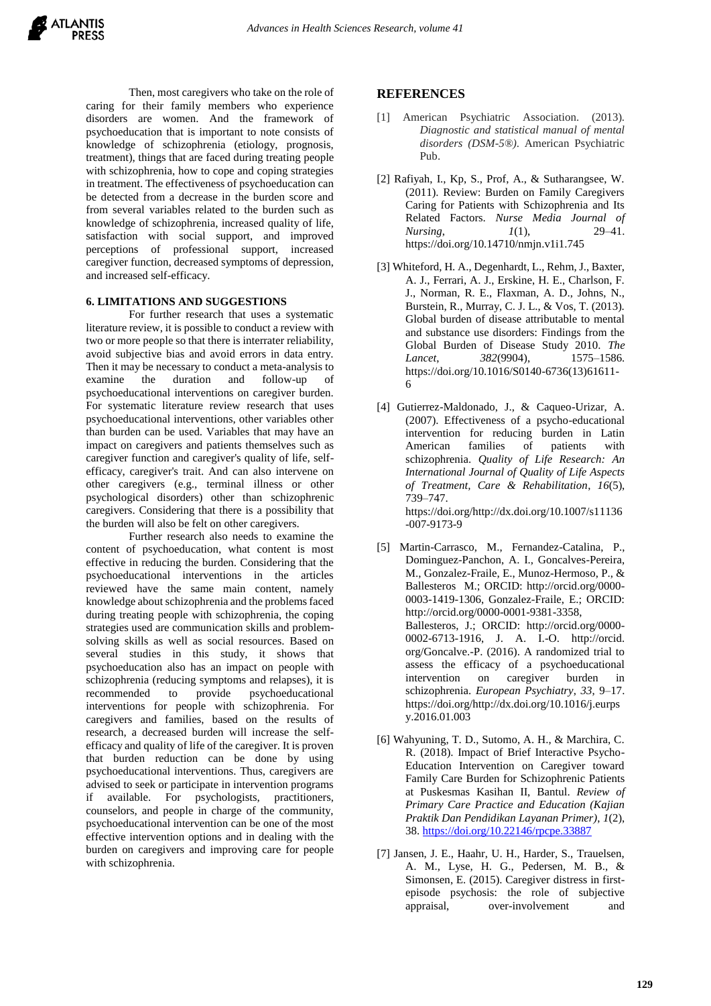Then, most caregivers who take on the role of caring for their family members who experience disorders are women. And the framework of psychoeducation that is important to note consists of knowledge of schizophrenia (etiology, prognosis, treatment), things that are faced during treating people with schizophrenia, how to cope and coping strategies in treatment. The effectiveness of psychoeducation can be detected from a decrease in the burden score and from several variables related to the burden such as knowledge of schizophrenia, increased quality of life, satisfaction with social support, and improved perceptions of professional support, increased caregiver function, decreased symptoms of depression, and increased self-efficacy.

# **6. LIMITATIONS AND SUGGESTIONS**

For further research that uses a systematic literature review, it is possible to conduct a review with two or more people so that there is interrater reliability, avoid subjective bias and avoid errors in data entry. Then it may be necessary to conduct a meta-analysis to examine the duration and follow-up of psychoeducational interventions on caregiver burden. For systematic literature review research that uses psychoeducational interventions, other variables other than burden can be used. Variables that may have an impact on caregivers and patients themselves such as caregiver function and caregiver's quality of life, selfefficacy, caregiver's trait. And can also intervene on other caregivers (e.g., terminal illness or other psychological disorders) other than schizophrenic caregivers. Considering that there is a possibility that the burden will also be felt on other caregivers.

Further research also needs to examine the content of psychoeducation, what content is most effective in reducing the burden. Considering that the psychoeducational interventions in the articles reviewed have the same main content, namely knowledge about schizophrenia and the problems faced during treating people with schizophrenia, the coping strategies used are communication skills and problemsolving skills as well as social resources. Based on several studies in this study, it shows that psychoeducation also has an impact on people with schizophrenia (reducing symptoms and relapses), it is recommended to provide psychoeducational interventions for people with schizophrenia. For caregivers and families, based on the results of research, a decreased burden will increase the selfefficacy and quality of life of the caregiver. It is proven that burden reduction can be done by using psychoeducational interventions. Thus, caregivers are advised to seek or participate in intervention programs if available. For psychologists, practitioners, counselors, and people in charge of the community, psychoeducational intervention can be one of the most effective intervention options and in dealing with the burden on caregivers and improving care for people with schizophrenia.

# **REFERENCES**

- [1] American Psychiatric Association. (2013). *Diagnostic and statistical manual of mental disorders (DSM-5®)*. American Psychiatric Pub.
- [2] Rafiyah, I., Kp, S., Prof, A., & Sutharangsee, W. (2011). Review: Burden on Family Caregivers Caring for Patients with Schizophrenia and Its Related Factors. *Nurse Media Journal of Nursing*, *1*(1), 29–41. https://doi.org/10.14710/nmjn.v1i1.745
- [3] Whiteford, H. A., Degenhardt, L., Rehm, J., Baxter, A. J., Ferrari, A. J., Erskine, H. E., Charlson, F. J., Norman, R. E., Flaxman, A. D., Johns, N., Burstein, R., Murray, C. J. L., & Vos, T. (2013). Global burden of disease attributable to mental and substance use disorders: Findings from the Global Burden of Disease Study 2010. *The Lancet*, *382*(9904), 1575–1586. https://doi.org/10.1016/S0140-6736(13)61611- 6
- [4] Gutierrez-Maldonado, J., & Caqueo-Urizar, A. (2007). Effectiveness of a psycho-educational intervention for reducing burden in Latin American families of patients with schizophrenia. *Quality of Life Research: An International Journal of Quality of Life Aspects of Treatment, Care & Rehabilitation*, *16*(5), 739–747. https://doi.org/http://dx.doi.org/10.1007/s11136 -007-9173-9
- [5] Martin-Carrasco, M., Fernandez-Catalina, P., Dominguez-Panchon, A. I., Goncalves-Pereira, M., Gonzalez-Fraile, E., Munoz-Hermoso, P., & Ballesteros M.; ORCID: http://orcid.org/0000- 0003-1419-1306, Gonzalez-Fraile, E.; ORCID: http://orcid.org/0000-0001-9381-3358, Ballesteros, J.; ORCID: http://orcid.org/0000- 0002-6713-1916, J. A. I.-O. http://orcid. org/Goncalve.-P. (2016). A randomized trial to assess the efficacy of a psychoeducational intervention on caregiver burden in schizophrenia. *European Psychiatry*, *33*, 9–17. https://doi.org/http://dx.doi.org/10.1016/j.eurps y.2016.01.003
- [6] Wahyuning, T. D., Sutomo, A. H., & Marchira, C. R. (2018). Impact of Brief Interactive Psycho-Education Intervention on Caregiver toward Family Care Burden for Schizophrenic Patients at Puskesmas Kasihan II, Bantul. *Review of Primary Care Practice and Education (Kajian Praktik Dan Pendidikan Layanan Primer)*, *1*(2), 38. <https://doi.org/10.22146/rpcpe.33887>
- [7] Jansen, J. E., Haahr, U. H., Harder, S., Trauelsen, A. M., Lyse, H. G., Pedersen, M. B., & Simonsen, E. (2015). Caregiver distress in firstepisode psychosis: the role of subjective appraisal, over-involvement and